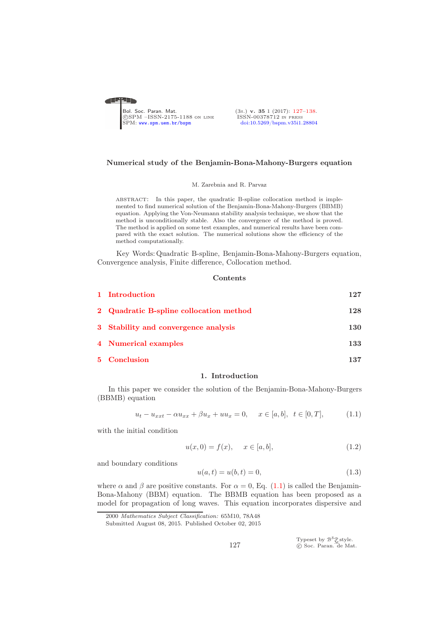<span id="page-0-0"></span>

### Numerical study of the Benjamin-Bona-Mahony-Burgers equation

#### M. Zarebnia and R. Parvaz

abstract: In this paper, the quadratic B-spline collocation method is implemented to find numerical solution of the Benjamin-Bona-Mahony-Burgers (BBMB) equation. Applying the Von-Neumann stability analysis technique, we show that the method is unconditionally stable. Also the convergence of the method is proved. The method is applied on some test examples, and numerical results have been compared with the exact solution. The numerical solutions show the efficiency of the method computationally.

Key Words: Quadratic B-spline, Benjamin-Bona-Mahony-Burgers equation, Convergence analysis, Finite difference, Collocation method.

## Contents

| 1 Introduction                          | 127 |
|-----------------------------------------|-----|
| 2 Quadratic B-spline collocation method | 128 |
| 3 Stability and convergence analysis    | 130 |
| 4 Numerical examples                    | 133 |
| 5 Conclusion                            | 137 |

### 1. Introduction

<span id="page-0-1"></span>In this paper we consider the solution of the Benjamin-Bona-Mahony-Burgers (BBMB) equation

<span id="page-0-2"></span>
$$
u_t - u_{xxt} - \alpha u_{xx} + \beta u_x + uu_x = 0, \quad x \in [a, b], \ t \in [0, T], \tag{1.1}
$$

with the initial condition

$$
u(x,0) = f(x), \quad x \in [a,b], \tag{1.2}
$$

and boundary conditions

<span id="page-0-3"></span>
$$
u(a,t) = u(b,t) = 0,
$$
\n(1.3)

where  $\alpha$  and  $\beta$  are positive constants. For  $\alpha = 0$ , Eq. [\(1.1\)](#page-0-2) is called the Benjamin-Bona-Mahony (BBM) equation. The BBMB equation has been proposed as a model for propagation of long waves. This equation incorporates dispersive and

Typeset by  $\mathcal{B}^{\mathcal{S}}_{\mathcal{M}}^{\mathcal{S}}$ style.<br>© Soc. Paran. de Mat.

<sup>2000</sup> Mathematics Subject Classification: 65M10, 78A48

Submitted August 08, 2015. Published October 02, 2015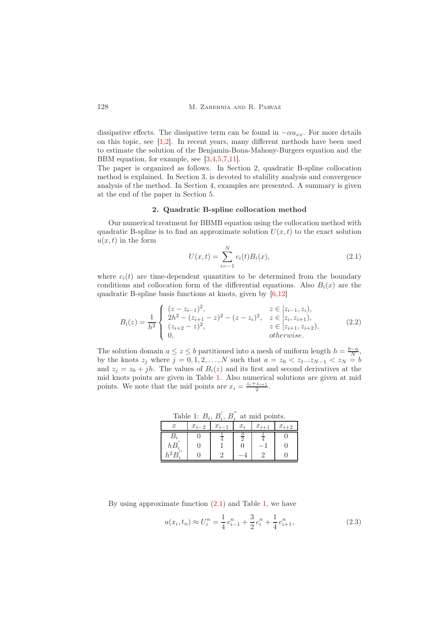dissipative effects. The dissipative term can be found in  $-\alpha u_{xx}$ . For more details on this topic, see [\[1,](#page-10-2)[2\]](#page-10-3). In recent years, many different methods have been used to estimate the solution of the Benjamin-Bona-Mahony-Burgers equation and the BBM equation, for example, see [\[3,](#page-10-4)[4,](#page-10-5)[5](#page-10-6)[,7,](#page-11-0)[11\]](#page-11-1).

The paper is organized as follows. In Section 2, quadratic B-spline collocation method is explained. In Section 3, is devoted to stability analysis and convergence analysis of the method. In Section 4, examples are presented. A summary is given at the end of the paper in Section 5.

### 2. Quadratic B-spline collocation method

<span id="page-1-0"></span>Our numerical treatment for BBMB equation using the collocation method with quadratic B-spline is to find an approximate solution  $U(x, t)$  to the exact solution  $u(x, t)$  in the form

<span id="page-1-2"></span>
$$
U(x,t) = \sum_{i=-1}^{N} c_i(t) B_i(x),
$$
\n(2.1)

where  $c_i(t)$  are time-dependent quantities to be determined from the boundary conditions and collocation form of the differential equations. Also  $B_i(x)$  are the quadratic B-spline basis functions at knots, given by [\[6,](#page-10-7)[12\]](#page-11-2)

$$
B_i(z) = \frac{1}{h^2} \begin{cases} (z - z_{i-1})^2, & z \in [z_{i-1}, z_i), \\ 2h^2 - (z_{i+1} - z)^2 - (z - z_i)^2, & z \in [z_i, z_{i+1}), \\ (z_{i+2} - z)^2, & z \in [z_{i+1}, z_{i+2}), \\ 0, & otherwise. \end{cases}
$$
(2.2)

The solution domain  $a \leq z \leq b$  partitioned into a mesh of uniform length  $h = \frac{b-a}{N}$ , by the knots  $z_j$  where  $j = 0, 1, 2, \ldots, N$  such that  $a = z_0 < z_1...z_{N-1} < z_N = b$ and  $z_i = z_0 + jh$ . The values of  $B_i(z)$  and its first and second derivatives at the mid knots points are given in Table [1.](#page-1-1) Also numerical solutions are given at mid points. We note that the mid points are  $x_i = \frac{z_i + z_{i+1}}{2}$  $\frac{z_{i+1}}{2}$ .

<span id="page-1-1"></span>Table 1:  $B_i, B_i'$  $i, B''_i$  $i$  at mid points.

|         | rable 1: $D_i$ , $D_i$ , $D_i$ as the points. |           |       |           |           |  |  |  |
|---------|-----------------------------------------------|-----------|-------|-----------|-----------|--|--|--|
|         | $x_{i-2}$                                     | $x_{i-1}$ | $x_i$ | $x_{i+1}$ | $x_{i+2}$ |  |  |  |
|         |                                               |           |       |           |           |  |  |  |
| $hB_i'$ |                                               |           |       |           |           |  |  |  |
| 1.2     |                                               |           |       |           |           |  |  |  |

By using approximate function  $(2.1)$  and Table [1,](#page-1-1) we have

<span id="page-1-3"></span>
$$
u(x_i, t_n) \approx U_i^n = \frac{1}{4} c_{i-1}^n + \frac{3}{2} c_i^n + \frac{1}{4} c_{i+1}^n,
$$
\n(2.3)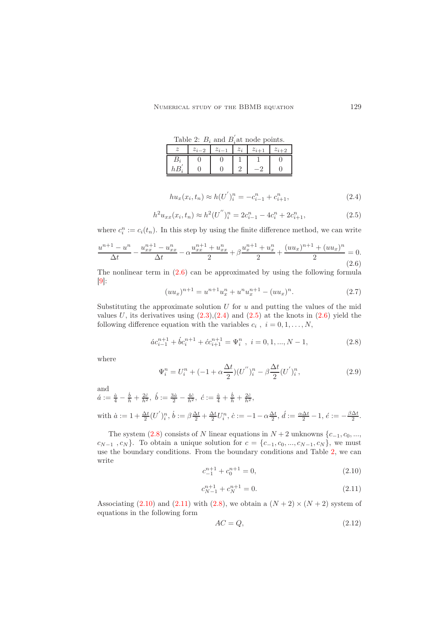<span id="page-2-4"></span>Table 2:  $B_i$  and  $B'_i$  $i$  at node points.  $z \mid z_{i-2} \mid z_{i-1} \mid z_i \mid z_{i+1} \mid z_{i+2}$  $B_i$  0 0 1 1 0  $hB_i^{'}$  $0 \mid 0 \mid 2 \mid -2 \mid 0$ 

<span id="page-2-1"></span>
$$
hu_x(x_i, t_n) \approx h(U')_i^n = -c_{i-1}^n + c_{i+1}^n,
$$
\n(2.4)

<span id="page-2-2"></span>
$$
h^{2}u_{xx}(x_{i}, t_{n}) \approx h^{2}(U'')_{i}^{n} = 2c_{i-1}^{n} - 4c_{i}^{n} + 2c_{i+1}^{n}, \qquad (2.5)
$$

where  $c_i^n := c_i(t_n)$ . In this step by using the finite difference method, we can write

<span id="page-2-0"></span>
$$
\frac{u^{n+1} - u^n}{\Delta t} - \frac{u_{xx}^{n+1} - u_{xx}^n}{\Delta t} - \alpha \frac{u_{xx}^{n+1} + u_{xx}^n}{2} + \beta \frac{u_{xx}^{n+1} + u_{xx}^n}{2} + \frac{(uu_x)^{n+1} + (uu_x)^n}{2} = 0.
$$
\n(2.6)

The nonlinear term in  $(2.6)$  can be approximated by using the following formula  $[9]$ :

$$
(uu_x)^{n+1} = u^{n+1}u_x^n + u^nu_x^{n+1} - (uu_x)^n.
$$
\n(2.7)

Substituting the approximate solution  $U$  for  $u$  and putting the values of the mid values U, its derivatives using  $(2.3),(2.4)$  $(2.3),(2.4)$  and  $(2.5)$  at the knots in  $(2.6)$  yield the following difference equation with the variables  $c_i$ ,  $i = 0, 1, \ldots, N$ ,

<span id="page-2-3"></span>
$$
\acute{a}c_{i-1}^{n+1} + \acute{b}c_i^{n+1} + \acute{c}c_{i+1}^{n+1} = \Psi_i^n \ , \ i = 0, 1, ..., N-1,
$$
\n(2.8)

where

<span id="page-2-8"></span>
$$
\Psi_i^n = U_i^n + (-1 + \alpha \frac{\Delta t}{2}) (U'')_i^n - \beta \frac{\Delta t}{2} (U')_i^n, \tag{2.9}
$$

and

 $\acute{a} := \frac{\dot{a}}{4} - \frac{\dot{b}}{h} + \frac{2\dot{c}}{h^2}, \ \acute{b} := \frac{3\dot{a}}{2} - \frac{4\dot{c}}{h^2}, \ \acute{c} := \frac{\dot{a}}{4} + \frac{\dot{b}}{h} + \frac{2\dot{c}}{h^2},$ 

with 
$$
\dot{a} := 1 + \frac{\Delta t}{2} (U')_i^n
$$
,  $\dot{b} := \beta \frac{\Delta t}{2} + \frac{\Delta t}{2} U_i^n$ ,  $\dot{c} := -1 - \alpha \frac{\Delta t}{2}$ ,  $\dot{d} := \frac{\alpha \Delta t}{2} - 1$ ,  $\dot{e} := -\frac{\beta \Delta t}{2}$ .

The system  $(2.8)$  consists of N linear equations in  $N + 2$  unknowns  $\{c_{-1}, c_0, \ldots, c_n\}$  $c_{N-1}, c_N$ }. To obtain a unique solution for  $c = \{c_{-1}, c_0, ..., c_{N-1}, c_N\}$ , we must use the boundary conditions. From the boundary conditions and Table [2,](#page-2-4) we can write

<span id="page-2-5"></span>
$$
c_{-1}^{n+1} + c_0^{n+1} = 0,\t\t(2.10)
$$

<span id="page-2-6"></span>
$$
c_{N-1}^{n+1} + c_N^{n+1} = 0.\t\t(2.11)
$$

Associating [\(2.10\)](#page-2-5) and [\(2.11\)](#page-2-6) with [\(2.8\)](#page-2-3), we obtain a  $(N+2) \times (N+2)$  system of equations in the following form

<span id="page-2-7"></span>
$$
AC = Q,\tag{2.12}
$$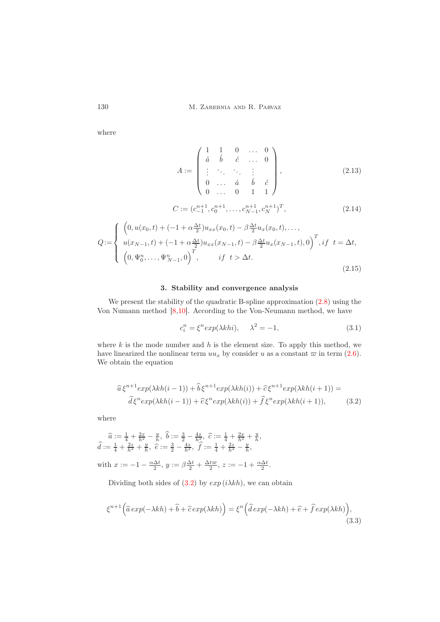130 M. Zarebnia and R. Parvaz

where

$$
A := \begin{pmatrix} 1 & 1 & 0 & \dots & 0 \\ \n\dot{a} & \dot{b} & \dot{c} & \dots & 0 \\ \n\vdots & \ddots & \ddots & \vdots & \vdots \\ \n0 & \dots & \dot{a} & \dot{b} & \dot{c} \\ \n0 & \dots & 0 & 1 & 1 \n\end{pmatrix},
$$
\n(2.13)

$$
C := (c_{-1}^{n+1}, c_0^{n+1}, \dots, c_{N-1}^{n+1}, c_N^{n+1})^T,
$$
\n(2.14)

$$
Q := \begin{cases} \left(0, u(x_0, t) + (-1 + \alpha \frac{\Delta t}{2})u_{xx}(x_0, t) - \beta \frac{\Delta t}{2} u_x(x_0, t), \dots, \right. \\ u(x_{N-1}, t) + (-1 + \alpha \frac{\Delta t}{2})u_{xx}(x_{N-1}, t) - \beta \frac{\Delta t}{2} u_x(x_{N-1}, t), 0\right)^T, if \ t = \Delta t, \\ \left(0, \Psi_0^n, \dots, \Psi_{N-1}^n, 0\right)^T, \qquad if \ t > \Delta t. \end{cases} \tag{2.15}
$$

# 3. Stability and convergence analysis

<span id="page-3-0"></span>We present the stability of the quadratic B-spline approximation  $(2.8)$  using the Von Numann method [\[8](#page-11-4)[,10\]](#page-11-5). According to the Von-Neumann method, we have

<span id="page-3-1"></span>
$$
c_i^n = \xi^n \exp(\lambda k h i), \quad \lambda^2 = -1,\tag{3.1}
$$

where  $k$  is the mode number and  $h$  is the element size. To apply this method, we have linearized the nonlinear term  $uu_x$  by consider u as a constant  $\varpi$  in term [\(2.6\)](#page-2-0). We obtain the equation

$$
\hat{a}\xi^{n+1}exp(\lambda kh(i-1)) + \hat{b}\xi^{n+1}exp(\lambda kh(i)) + \hat{c}\xi^{n+1}exp(\lambda kh(i+1)) =
$$
  

$$
\hat{d}\xi^n exp(\lambda kh(i-1)) + \hat{c}\xi^n exp(\lambda kh(i)) + \hat{f}\xi^n exp(\lambda kh(i+1)),
$$
 (3.2)

where

$$
\begin{aligned}\n\widehat{a} &:= \frac{1}{4} + \frac{2x}{h^2} - \frac{y}{h}, \ \widehat{b} := \frac{3}{2} - \frac{4x}{h^2}, \ \widehat{c} := \frac{1}{4} + \frac{2x}{h^2} + \frac{y}{h}, \\
\widehat{d} &:= \frac{1}{4} + \frac{2z}{h^2} + \frac{y}{h}, \ \widehat{e} := \frac{3}{2} - \frac{4z}{h^2}, \ \widehat{f} := \frac{1}{4} + \frac{2z}{h^2} - \frac{y}{h}, \\
\text{with } x := -1 - \frac{\alpha \Delta t}{2}, \ y := \beta \frac{\Delta t}{2} + \frac{\Delta t \varpi}{2}, \ z := -1 + \frac{\alpha \Delta t}{2}.\n\end{aligned}
$$

Dividing both sides of  $(3.2)$  by  $exp(i\lambda kh)$ , we can obtain

<span id="page-3-2"></span>
$$
\xi^{n+1}(\hat{a}\exp(-\lambda kh) + \hat{b} + \hat{c}\exp(\lambda kh)) = \xi^n(\hat{d}\exp(-\lambda kh) + \hat{e} + \hat{f}\exp(\lambda kh)),
$$
\n(3.3)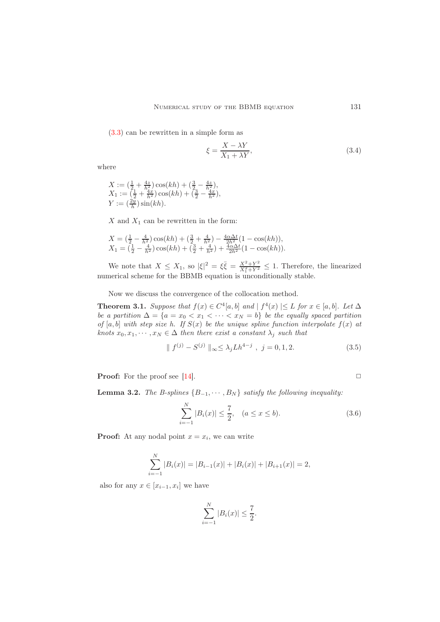[\(3.3\)](#page-3-2) can be rewritten in a simple form as

$$
\xi = \frac{X - \lambda Y}{X_1 + \lambda Y},\tag{3.4}
$$

where

$$
X := \left(\frac{1}{2} + \frac{4z}{h^2}\right)\cos(kh) + \left(\frac{3}{2} - \frac{4z}{h^2}\right),
$$
  
\n
$$
X_1 := \left(\frac{1}{2} + \frac{4x}{h^2}\right)\cos(kh) + \left(\frac{3}{2} - \frac{4x}{h^2}\right),
$$
  
\n
$$
Y := \left(\frac{2y}{h}\right)\sin(kh).
$$

 $X$  and  $X_1$  can be rewritten in the form:

$$
X = \left(\frac{1}{2} - \frac{4}{h^2}\right)\cos(kh) + \left(\frac{3}{2} + \frac{4}{h^2}\right) - \frac{4\alpha\Delta t}{2h^2}(1 - \cos(kh)),
$$
  
\n
$$
X_1 = \left(\frac{1}{2} - \frac{4}{h^2}\right)\cos(kh) + \left(\frac{3}{2} + \frac{4}{h^2}\right) + \frac{4\alpha\Delta t}{2h^2}(1 - \cos(kh)).
$$

We note that  $X \leq X_1$ , so  $|\xi|^2 = \xi \overline{\xi} = \frac{X^2 + Y^2}{X^2 + Y^2}$  $\frac{X^2+Y^2}{X_1^2+Y^2} \leq 1$ . Therefore, the linearized numerical scheme for the BBMB equation is unconditionally stable.

Now we discuss the convergence of the collocation method.

<span id="page-4-0"></span>**Theorem 3.1.** Suppose that  $f(x) \in C^4[a, b]$  and  $| f^4(x) | \le L$  for  $x \in [a, b]$ . Let  $\Delta$ be a partition  $\Delta = \{a = x_0 < x_1 < \cdots < x_N = b\}$  be the equally spaced partition of [a, b] with step size h. If  $S(x)$  be the unique spline function interpolate  $f(x)$  at knots  $x_0, x_1, \dots, x_N \in \Delta$  then there exist a constant  $\lambda_j$  such that

$$
\| f^{(j)} - S^{(j)} \|_{\infty} \le \lambda_j L h^{4-j} , j = 0, 1, 2.
$$
 (3.5)

**Proof:** For the proof see [\[14\]](#page-11-6).  $\Box$ 

<span id="page-4-1"></span>**Lemma 3.2.** The B-splines  ${B_{-1}, \cdots, B_N}$  satisfy the following inequality:

$$
\sum_{i=-1}^{N} |B_i(x)| \le \frac{7}{2}, \quad (a \le x \le b).
$$
 (3.6)

**Proof:** At any nodal point  $x = x_i$ , we can write

$$
\sum_{i=-1}^{N} |B_i(x)| = |B_{i-1}(x)| + |B_i(x)| + |B_{i+1}(x)| = 2,
$$

also for any  $x \in [x_{i-1}, x_i]$  we have

$$
\sum_{i=-1}^{N} |B_i(x)| \le \frac{7}{2}.
$$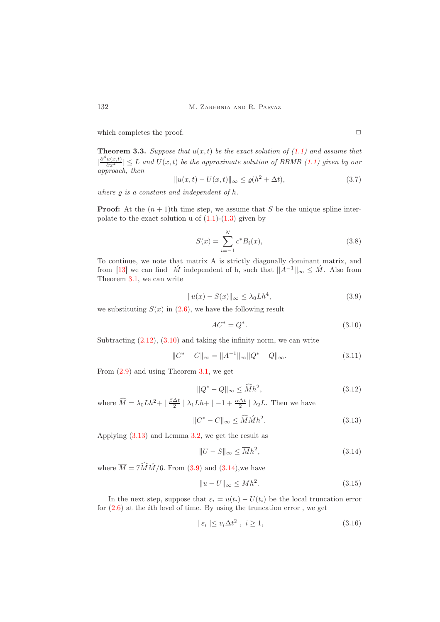which completes the proof.  $\Box$ 

**Theorem 3.3.** Suppose that  $u(x, t)$  be the exact solution of [\(1.1\)](#page-0-2) and assume that  $|\frac{\partial^4 u(x,t)}{\partial x^4}| \leq L$  and  $U(x,t)$  be the approximate solution of BBMB [\(1.1\)](#page-0-2) given by our approach, then

$$
||u(x,t) - U(x,t)||_{\infty} \le \varrho(h^2 + \Delta t),\tag{3.7}
$$

where  $\rho$  is a constant and independent of  $h$ .

**Proof:** At the  $(n + 1)$ th time step, we assume that S be the unique spline interpolate to the exact solution u of  $(1.1)-(1.3)$  $(1.1)-(1.3)$  given by

$$
S(x) = \sum_{i=-1}^{N} c^* B_i(x),
$$
\n(3.8)

To continue, we note that matrix A is strictly diagonally dominant matrix, and from [\[13\]](#page-11-7) we can find  $\hat{M}$  independent of h, such that  $||A^{-1}||_{\infty} \leq \hat{M}$ . Also from Theorem [3.1,](#page-4-0) we can write

<span id="page-5-2"></span>
$$
||u(x) - S(x)||_{\infty} \le \lambda_0 L h^4,
$$
\n(3.9)

we substituting  $S(x)$  in [\(2.6\)](#page-2-0), we have the following result

<span id="page-5-0"></span>
$$
AC^* = Q^*.\tag{3.10}
$$

Subtracting  $(2.12)$ ,  $(3.10)$  and taking the infinity norm, we can write

$$
||C^* - C||_{\infty} = ||A^{-1}||_{\infty} ||Q^* - Q||_{\infty}.
$$
\n(3.11)

From [\(2.9\)](#page-2-8) and using Theorem [3.1,](#page-4-0) we get

$$
||Q^* - Q||_{\infty} \le \widehat{M}h^2,\tag{3.12}
$$

where  $\widehat{M} = \lambda_0 L h^2 + |\frac{\beta \Delta t}{2}| \lambda_1 L h + |-1 + \frac{\alpha \Delta t}{2}| \lambda_2 L$ . Then we have

<span id="page-5-1"></span>
$$
||C^* - C||_{\infty} \le \widehat{M} \widehat{M} h^2. \tag{3.13}
$$

Applying [\(3.13\)](#page-5-1) and Lemma [3.2,](#page-4-1) we get the result as

<span id="page-5-3"></span>
$$
||U - S||_{\infty} \le \overline{M}h^2,\tag{3.14}
$$

where  $\overline{M} = 7\widehat{M}\widehat{M}/6$ . From [\(3.9\)](#page-5-2) and [\(3.14\)](#page-5-3), we have

$$
||u - U||_{\infty} \le Mh^2. \tag{3.15}
$$

In the next step, suppose that  $\varepsilon_i = u(t_i) - U(t_i)$  be the local truncation error for  $(2.6)$  at the *i*th level of time. By using the truncation error, we get

<span id="page-5-4"></span>
$$
|\varepsilon_i| \le v_i \Delta t^2 \ , \ i \ge 1,\tag{3.16}
$$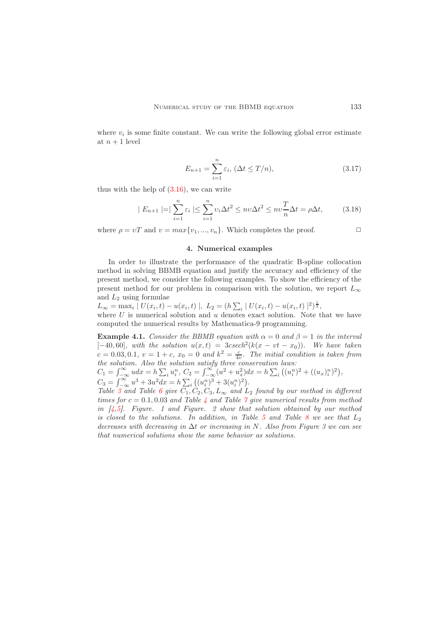where  $v_i$  is some finite constant. We can write the following global error estimate at  $n+1$  level

$$
E_{n+1} = \sum_{i=1}^{n} \varepsilon_i, \ (\Delta t \le T/n), \tag{3.17}
$$

thus with the help of  $(3.16)$ , we can write

$$
|E_{n+1}| = |\sum_{i=1}^{n} \varepsilon_i| \le \sum_{i=1}^{n} \nu_i \Delta t^2 \le nv \Delta t^2 \le nv \frac{T}{n} \Delta t = \rho \Delta t, \tag{3.18}
$$

<span id="page-6-0"></span>where  $\rho = vT$  and  $v = max\{v_1, ..., v_n\}$ . Which completes the proof.  $\Box$ 

### 4. Numerical examples

In order to illustrate the performance of the quadratic B-spline collocation method in solving BBMB equation and justify the accuracy and efficiency of the present method, we consider the following examples. To show the efficiency of the present method for our problem in comparison with the solution, we report  $L_{\infty}$ and  $L_2$  using formulae

 $L_{\infty} = \max_{i} |U(x_i, t) - u(x_i, t)|, L_2 = (h\sum_{i} |U(x_i, t) - u(x_i, t)|^2)^{\frac{1}{2}},$ where  $U$  is numerical solution and  $u$  denotes exact solution. Note that we have computed the numerical results by Mathematica-9 programming.

**Example 4.1.** Consider the BBMB equation with  $\alpha = 0$  and  $\beta = 1$  in the interval  $[-40, 60]$ , with the solution  $u(x,t) = 3c \operatorname{sech}^2(k(x - vt - x_0))$ . We have taken  $c = 0.03, 0.1, v = 1 + c, x_0 = 0$  and  $k^2 = \frac{c}{4v}$ . The initial condition is taken from the solution. Also the solution satisfy three conservation laws:

 $C_1 = \int_{-\infty}^{\infty} u dx = h \sum_i u_i^n, C_2 = \int_{-\infty}^{\infty} (u^2 + u_x^2) dx = h \sum_i ((u_i^n)^2 + ((u_x)_i^n)^2),$  $C_3 = \int_{-\infty}^{\infty} u^3 + 3u^2 dx = h \sum_i ((u_i^n)^3 + 3(u_i^n)^2).$ 

Table [3](#page-7-0) and Table [6](#page-9-0) give  $C_1, C_2, C_3, L_\infty$  and  $L_2$  found by our method in different times for  $c = 0.1, 0.03$  and Table [4](#page-7-1) and Table [7](#page-9-1) give numerical results from method in  $[4,5]$  $[4,5]$ . Figure. 1 and Figure. 2 show that solution obtained by our method is closed to the solutions. In addition, in Table [5](#page-7-2) and Table [8](#page-9-2) we see that  $L_2$ decreases with decreasing in  $\Delta t$  or increasing in N. Also from Figure 3 we can see that numerical solutions show the same behavior as solutions.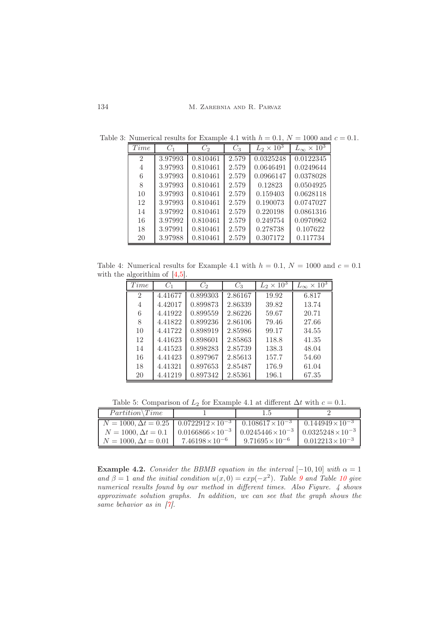<span id="page-7-0"></span>

| Time                        | $C_1$   | $C_2$    | $C_3$ | $L_2 \times 10^3$ | $L_{\infty} \times 10^3$ |
|-----------------------------|---------|----------|-------|-------------------|--------------------------|
| $\mathcal{D}_{\mathcal{L}}$ | 3.97993 | 0.810461 | 2.579 | 0.0325248         | 0.0122345                |
| 4                           | 3.97993 | 0.810461 | 2.579 | 0.0646491         | 0.0249644                |
| 6                           | 3.97993 | 0.810461 | 2.579 | 0.0966147         | 0.0378028                |
| 8                           | 3.97993 | 0.810461 | 2.579 | 0.12823           | 0.0504925                |
| 10                          | 3.97993 | 0.810461 | 2.579 | 0.159403          | 0.0628118                |
| 12                          | 3.97993 | 0.810461 | 2.579 | 0.190073          | 0.0747027                |
| 14                          | 3.97992 | 0.810461 | 2.579 | 0.220198          | 0.0861316                |
| 16                          | 3.97992 | 0.810461 | 2.579 | 0.249754          | 0.0970962                |
| 18                          | 3.97991 | 0.810461 | 2.579 | 0.278738          | 0.107622                 |
| 20                          | 3.97988 | 0.810461 | 2.579 | 0.307172          | 0.117734                 |

Table 3: Numerical results for Example 4.1 with  $h = 0.1$ ,  $N = 1000$  and  $c = 0.1$ .

Table 4: Numerical results for Example 4.1 with  $h = 0.1, N = 1000$  and  $c = 0.1$ with the algorithim of  $[4,5]$  $[4,5]$ .

<span id="page-7-1"></span>

| Time                        | $C_1$   | $C_{2}$  | $C_3$   | $L_2 \times 10^3$ | $L_{\infty} \times 10^3$ |
|-----------------------------|---------|----------|---------|-------------------|--------------------------|
| $\mathcal{D}_{\mathcal{L}}$ | 4.41677 | 0.899303 | 2.86167 | 19.92             | 6.817                    |
| 4                           | 4.42017 | 0.899873 | 2.86339 | 39.82             | 13.74                    |
| 6                           | 4.41922 | 0.899559 | 2.86226 | 59.67             | 20.71                    |
| 8                           | 4.41822 | 0.899236 | 2.86106 | 79.46             | 27.66                    |
| 10                          | 4.41722 | 0.898919 | 2.85986 | 99.17             | 34.55                    |
| 12                          | 4.41623 | 0.898601 | 2.85863 | 118.8             | 41.35                    |
| 14                          | 4.41523 | 0.898283 | 2.85739 | 138.3             | 48.04                    |
| 16                          | 4.41423 | 0.897967 | 2.85613 | 157.7             | 54.60                    |
| 18                          | 4.41321 | 0.897653 | 2.85487 | 176.9             | 61.04                    |
| 20                          | 4.41219 | 0.897342 | 2.85361 | 196.1             | 67.35                    |

<span id="page-7-2"></span>Table 5: Comparison of  $L_2$  for Example 4.1 at different  $\Delta t$  with  $c = 0.1$ .

| $Partition \$ {Time}                                                                                                           |                            |                            |                             |
|--------------------------------------------------------------------------------------------------------------------------------|----------------------------|----------------------------|-----------------------------|
| $N = 1000, \Delta t = 0.25 \mid 0.0722\overline{912 \times 10^{-3}} \mid 0.108617 \times 10^{-3} \mid 0.144949 \times 10^{-3}$ |                            |                            |                             |
| $N = 1000, \Delta t = 0.1$                                                                                                     | $0.0166866 \times 10^{-3}$ | $0.0245446 \times 10^{-3}$ | $10.0325248 \times 10^{-3}$ |
| $N = 1000, \Delta t = 0.01$                                                                                                    | $7.46198 \times 10^{-6}$   | $9.71695 \times 10^{-6}$   | $0.012213\times10^{-3}$     |

**Example 4.2.** Consider the BBMB equation in the interval  $[-10, 10]$  with  $\alpha = 1$ and  $\beta = 1$  and the initial condition  $u(x, 0) = exp(-x^2)$ . Table [9](#page-9-3) and Table [10](#page-10-8) give numerical results found by our method in different times. Also Figure. 4 shows approximate solution graphs. In addition, we can see that the graph shows the same behavior as in  $[7]$ .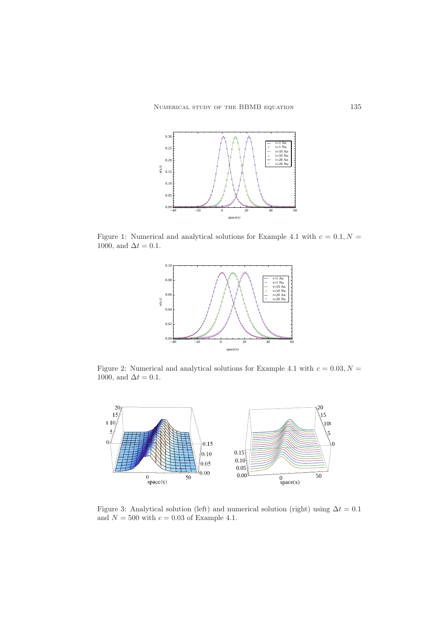

Figure 1: Numerical and analytical solutions for Example 4.1 with  $c = 0.1, N =$ 1000, and  $\Delta t = 0.1$ .



Figure 2: Numerical and analytical solutions for Example 4.1 with  $c = 0.03, N =$ 1000, and  $\Delta t = 0.1$ .



Figure 3: Analytical solution (left) and numerical solution (right) using  $\Delta t = 0.1$ and  $N = 500$  with  $c = 0.03$  of Example 4.1.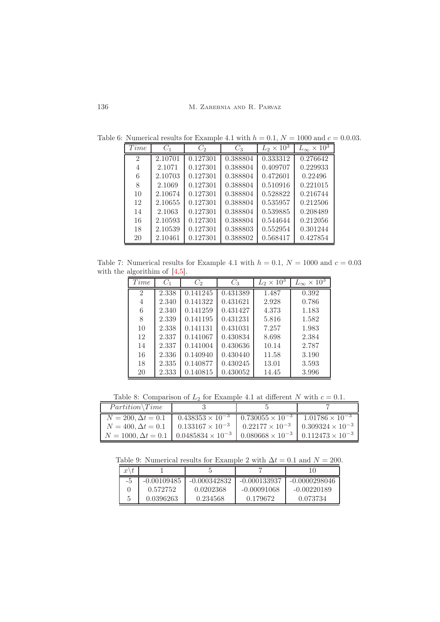<span id="page-9-0"></span>

| Time           | $C_1$   | $C_2$    | $C_3$    | $L_2 \times 10^3$ | $L_{\infty} \times 10^{3}$ |
|----------------|---------|----------|----------|-------------------|----------------------------|
| $\mathfrak{D}$ | 2.10701 | 0.127301 | 0.388804 | 0.333312          | 0.276642                   |
| $\overline{4}$ | 2.1071  | 0.127301 | 0.388804 | 0.409707          | 0.229933                   |
| 6              | 2.10703 | 0.127301 | 0.388804 | 0.472601          | 0.22496                    |
| 8              | 2.1069  | 0.127301 | 0.388804 | 0.510916          | 0.221015                   |
| 10             | 2.10674 | 0.127301 | 0.388804 | 0.528822          | 0.216744                   |
| 12             | 2.10655 | 0.127301 | 0.388804 | 0.535957          | 0.212506                   |
| 14             | 2.1063  | 0.127301 | 0.388804 | 0.539885          | 0.208489                   |
| 16             | 2.10593 | 0.127301 | 0.388804 | 0.544644          | 0.212056                   |
| 18             | 2.10539 | 0.127301 | 0.388803 | 0.552954          | 0.301244                   |
| 20             | 2.10461 | 0.127301 | 0.388802 | 0.568417          | 0.427854                   |

Table 6: Numerical results for Example 4.1 with  $h = 0.1$ ,  $N = 1000$  and  $c = 0.0.03$ .

Table 7: Numerical results for Example 4.1 with  $h = 0.1$ ,  $N = 1000$  and  $c = 0.03$ with the algorithim of  $[4,5]$  $[4,5]$ .

<span id="page-9-1"></span>

| Time           | $C_1$ | $C_2$    | $C_3$    | $L_2 \times 10^{3}$ | $L_{\infty} \times \overline{10^3}$ |
|----------------|-------|----------|----------|---------------------|-------------------------------------|
| $\mathfrak{D}$ | 2.338 | 0.141245 | 0.431389 | 1.487               | 0.392                               |
| 4              | 2.340 | 0.141322 | 0.431621 | 2.928               | 0.786                               |
| 6              | 2.340 | 0.141259 | 0.431427 | 4.373               | 1.183                               |
| 8              | 2.339 | 0.141195 | 0.431231 | 5.816               | 1.582                               |
| 10             | 2.338 | 0.141131 | 0.431031 | 7.257               | 1.983                               |
| 12             | 2.337 | 0.141067 | 0.430834 | 8.698               | 2.384                               |
| 14             | 2.337 | 0.141004 | 0.430636 | 10.14               | 2.787                               |
| 16             | 2.336 | 0.140940 | 0.430440 | 11.58               | 3.190                               |
| 18             | 2.335 | 0.140877 | 0.430245 | 13.01               | 3.593                               |
| 20             | 2.333 | 0.140815 | 0.430052 | 14.45               | 3.996                               |

<span id="page-9-2"></span>Table 8: Comparison of  $L_2$  for Example 4.1 at different N with  $c = 0.1$ .

| $Partition \$ {Time}                                                                                            |  |  |
|-----------------------------------------------------------------------------------------------------------------|--|--|
| $N = 200, \Delta t = 0.1$ $\sqrt{0.438353 \times 10^{-3} + 0.730055 \times 10^{-3} + 1.01786 \times 10^{-3}}}$  |  |  |
| $N = 400, \Delta t = 0.1$ 0.133167 × 10 <sup>-3</sup> 0.22177 × 10 <sup>-3</sup> 0.309324 × 10 <sup>-3</sup>    |  |  |
| $N = 1000, \Delta t = 0.1$   $0.0485834 \times 10^{-3}$   $0.080668 \times 10^{-3}$   $0.112473 \times 10^{-3}$ |  |  |

Table 9: Numerical results for Example 2 with  $\Delta t = 0.1$  and  $N = 200$ .

<span id="page-9-3"></span>

| $x^{\scriptscriptstyle \prime}$<br>v |               |                |                |                 |
|--------------------------------------|---------------|----------------|----------------|-----------------|
| -5                                   | $-0.00109485$ | $-0.000342832$ | $-0.000133937$ | $-0.0000298046$ |
|                                      | 0.572752      | 0.0202368      | $-0.00091068$  | $-0.00220189$   |
|                                      | 0.0396263     | 0.234568       | 0.179672       | 0.073734        |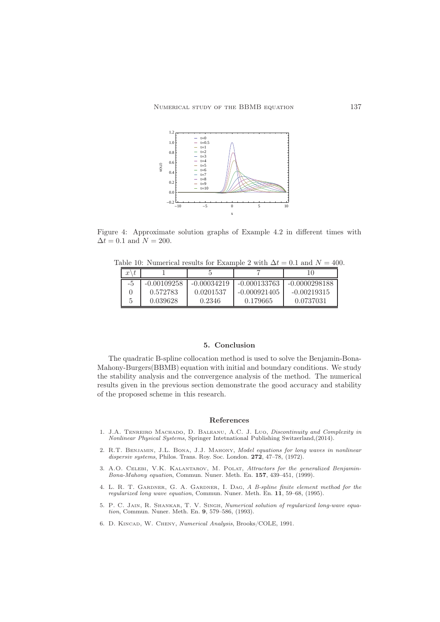

Figure 4: Approximate solution graphs of Example 4.2 in different times with  $\Delta t = 0.1$  and  $N = 200$ .

Table 10: Numerical results for Example 2 with  $\Delta t = 0.1$  and  $N = 400$ .

<span id="page-10-8"></span>

| $x\setminus$ |               |               |                |                 |
|--------------|---------------|---------------|----------------|-----------------|
| -5           | $-0.00109258$ | $-0.00034219$ | $-0.000133763$ | $-0.0000298188$ |
|              | 0.572783      | 0.0201537     | $-0.000921405$ | $-0.00219315$   |
| 5            | 0.039628      | 0.2346        | 0.179665       | 0.0737031       |

### 5. Conclusion

<span id="page-10-1"></span>The quadratic B-spline collocation method is used to solve the Benjamin-Bona-Mahony-Burgers(BBMB) equation with initial and boundary conditions. We study the stability analysis and the convergence analysis of the method. The numerical results given in the previous section demonstrate the good accuracy and stability of the proposed scheme in this research.

#### <span id="page-10-0"></span>References

- <span id="page-10-2"></span>1. J.A. Tenreiro Machado, D. Baleanu, A.C. J. Luo, Discontinuity and Complexity in Nonlinear Physical Systems, Springer Intetnational Publishing Switzerland,(2014).
- <span id="page-10-3"></span>2. R.T. Benjamin, J.L. Bona, J.J. Mahony, Model equations for long waves in nonlinear dispersiv systems, Philos. Trans. Roy. Soc. London. 272, 47-78, (1972).
- <span id="page-10-4"></span>3. A.O. CELEBI, V.K. KALANTAROV, M. POLAT, Attractors for the generalized Benjamin-Bona-Mahony equation, Commun. Nuner. Meth. En. 157, 439–451, (1999).
- <span id="page-10-5"></span>4. L. R. T. GARDNER, G. A. GARDNER, I. DAG, A B-spline finite element method for the regularized long wave equation, Commun. Nuner. Meth. En. 11, 59–68, (1995).
- <span id="page-10-6"></span>5. P. C. Jain, R. Shankar, T. V. Singh, Numerical solution of regularized long-wave equation, Commun. Nuner. Meth. En. 9, 579–586, (1993).
- <span id="page-10-7"></span>6. D. Kincad, W. Cheny, Numerical Analysis, Brooks/COLE, 1991.